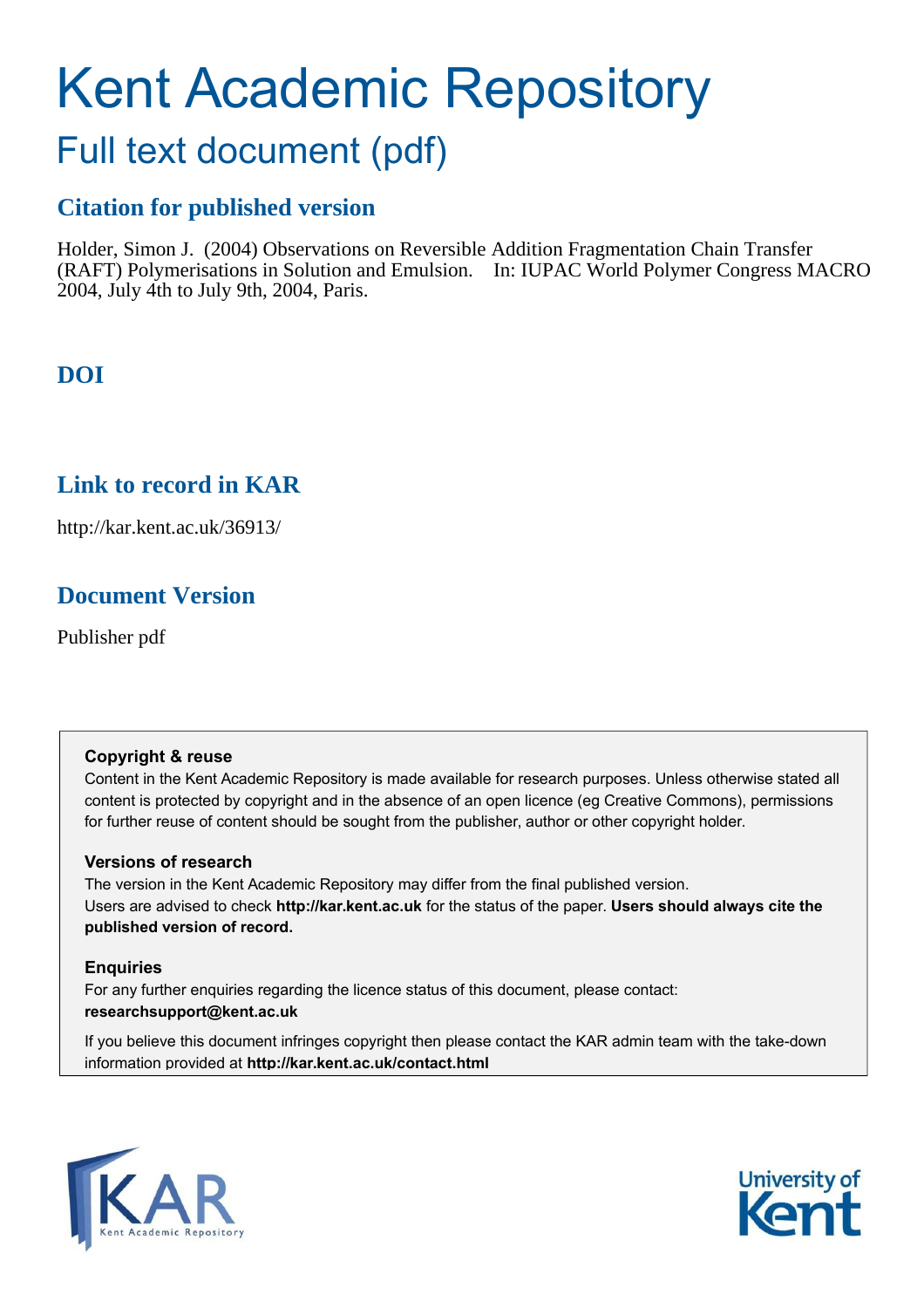# Kent Academic Repository

## Full text document (pdf)

## **Citation for published version**

Holder, Simon J. (2004) Observations on Reversible Addition Fragmentation Chain Transfer (RAFT) Polymerisations in Solution and Emulsion. In: IUPAC World Polymer Congress MACRO 2004, July 4th to July 9th, 2004, Paris.

## **DOI**

## **Link to record in KAR**

http://kar.kent.ac.uk/36913/

## **Document Version**

Publisher pdf

#### **Copyright & reuse**

Content in the Kent Academic Repository is made available for research purposes. Unless otherwise stated all content is protected by copyright and in the absence of an open licence (eg Creative Commons), permissions for further reuse of content should be sought from the publisher, author or other copyright holder.

#### **Versions of research**

The version in the Kent Academic Repository may differ from the final published version. Users are advised to check **http://kar.kent.ac.uk** for the status of the paper. **Users should always cite the published version of record.**

#### **Enquiries**

For any further enquiries regarding the licence status of this document, please contact: **researchsupport@kent.ac.uk**

If you believe this document infringes copyright then please contact the KAR admin team with the take-down information provided at **http://kar.kent.ac.uk/contact.html**



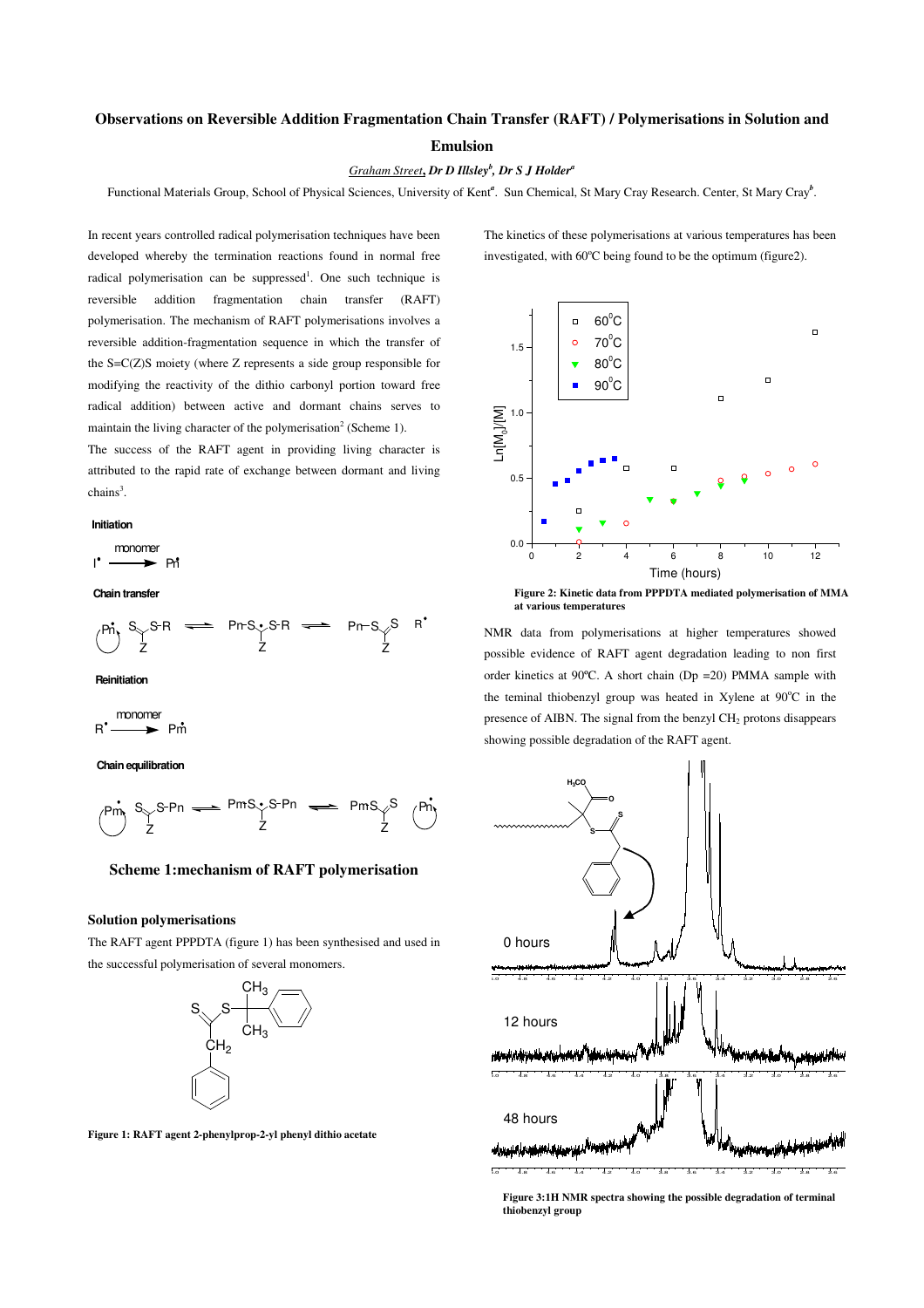#### **Observations on Reversible Addition Fragmentation Chain Transfer (RAFT) / Polymerisations in Solution and**

#### **Emulsion**

#### *Graham Street***,** *Dr D Illsley<sup>b</sup> , Dr S J Holder<sup>a</sup>*

Functional Materials Group, School of Physical Sciences, University of Kent<sup>a</sup>. Sun Chemical, St Mary Cray Research. Center, St Mary Cray<sup>b</sup>.

In recent years controlled radical polymerisation techniques have been developed whereby the termination reactions found in normal free radical polymerisation can be suppressed<sup>1</sup>. One such technique is reversible addition fragmentation chain transfer (RAFT) polymerisation. The mechanism of RAFT polymerisations involves a reversible addition-fragmentation sequence in which the transfer of the S=C(Z)S moiety (where Z represents a side group responsible for modifying the reactivity of the dithio carbonyl portion toward free radical addition) between active and dormant chains serves to maintain the living character of the polymerisation<sup>2</sup> (Scheme 1).

The success of the RAFT agent in providing living character is attributed to the rapid rate of exchange between dormant and living  $\text{chains}^3$ .

#### **Initiation**

$$
\mathsf{1}^\bullet \xrightarrow{\text{monomer}} \mathsf{Pn}^\bullet
$$

#### **Chain transfer**



**Reinitiation**

$$
R^{\bullet} \xrightarrow{\text{monomer}} P\hat{m}
$$

**Chain equilibration**



#### **Scheme 1:mechanism of RAFT polymerisation**

#### **Solution polymerisations**

The RAFT agent PPPDTA (figure 1) has been synthesised and used in the successful polymerisation of several monomers.



**Figure 1: RAFT agent 2-phenylprop-2-yl phenyl dithio acetate**

The kinetics of these polymerisations at various temperatures has been investigated, with 60°C being found to be the optimum (figure2).



**Figure 2: Kinetic data from PPPDTA mediated polymerisation of MMA at various temperatures**

NMR data from polymerisations at higher temperatures showed possible evidence of RAFT agent degradation leading to non first order kinetics at 90ºC. A short chain (Dp =20) PMMA sample with the teminal thiobenzyl group was heated in Xylene at  $90^{\circ}$ C in the presence of AIBN. The signal from the benzyl CH2 protons disappears showing possible degradation of the RAFT agent.



**Figure 3:1H NMR spectra showing the possible degradation of terminal thiobenzyl group**